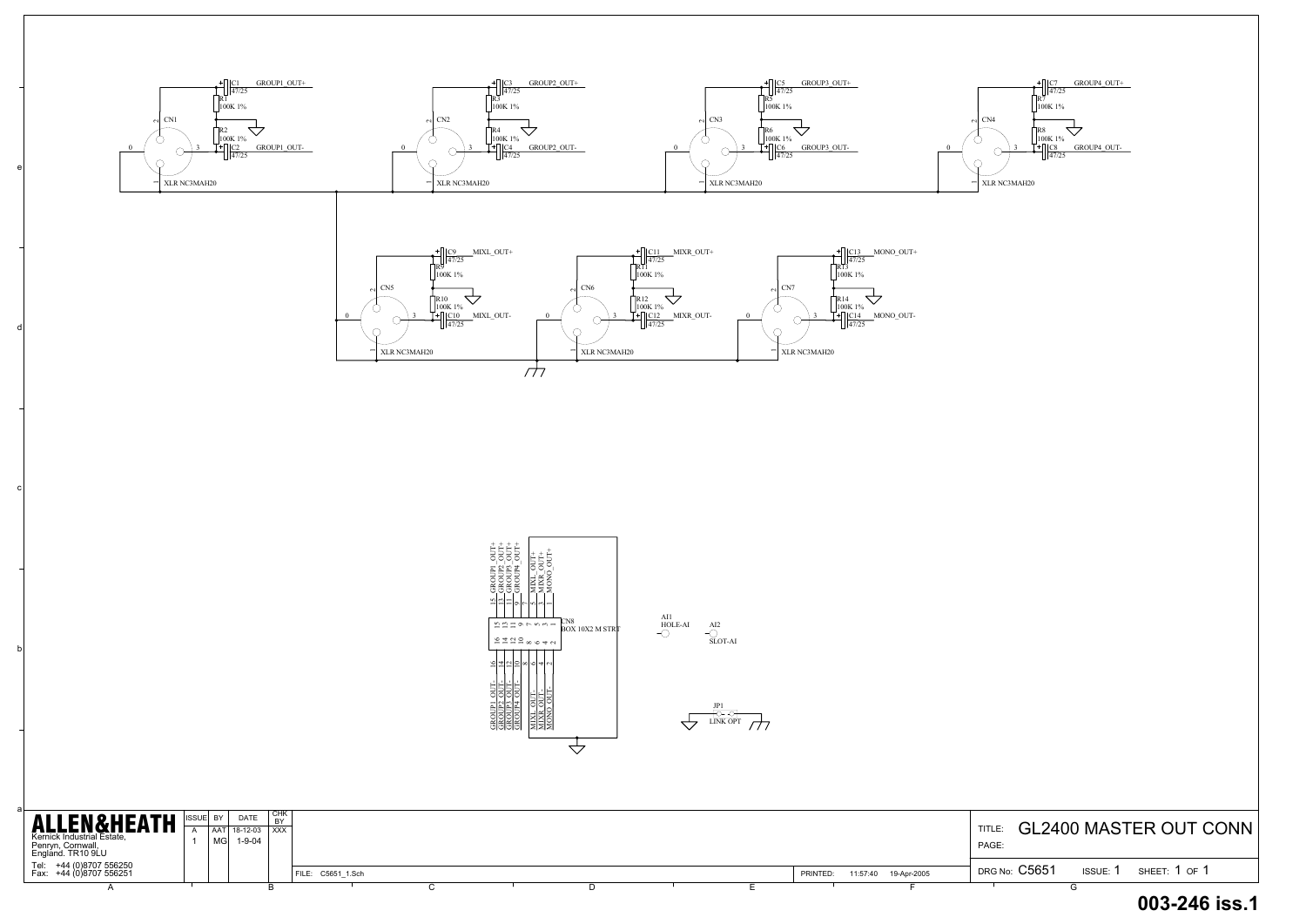

a

b

c

d

e

| <b>ALLEN&amp;HEATH</b><br>Kernick Industrial Estate,<br>Penryn, Cornwall,<br>England. TR10 9LU | <sup>1</sup> CHK<br><b>DATE</b><br>ISSUE BY<br>DV.<br>$18-12-03$ $\overline{\smash{\big)}\ xxx}$<br>1-9-04<br>' MGI |  |  |                   |  |  |  |  |  |                      | <b>TITLE</b><br>PAGE: | <b>GL2400 MASTER OUT C</b> |                 |                   |
|------------------------------------------------------------------------------------------------|---------------------------------------------------------------------------------------------------------------------|--|--|-------------------|--|--|--|--|--|----------------------|-----------------------|----------------------------|-----------------|-------------------|
| Tel: +44 (0)8707 556250<br>Fax: +44 (0)8707 556251                                             |                                                                                                                     |  |  | FILE: C5651 1.Sch |  |  |  |  |  | 11:57:40<br>PRINTED: | 19-Apr-2005           | DRG No: C5651              | <b>ISSUE: 1</b> | SHEET: $1$ OF $1$ |
|                                                                                                |                                                                                                                     |  |  |                   |  |  |  |  |  |                      |                       |                            |                 |                   |





## **003-246 iss.1**